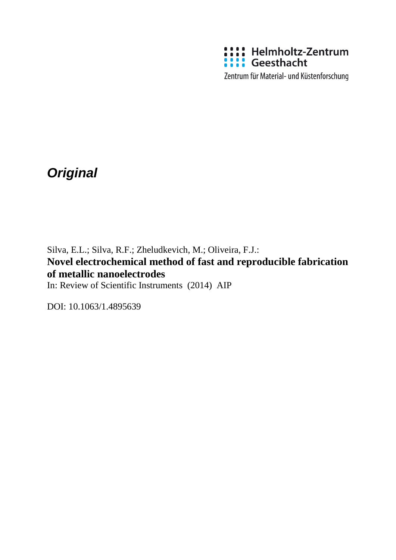

Zentrum für Material- und Küstenforschung

# *Original*

Silva, E.L.; Silva, R.F.; Zheludkevich, M.; Oliveira, F.J.: **Novel electrochemical method of fast and reproducible fabrication of metallic nanoelectrodes**

In: Review of Scientific Instruments (2014) AIP

DOI: 10.1063/1.4895639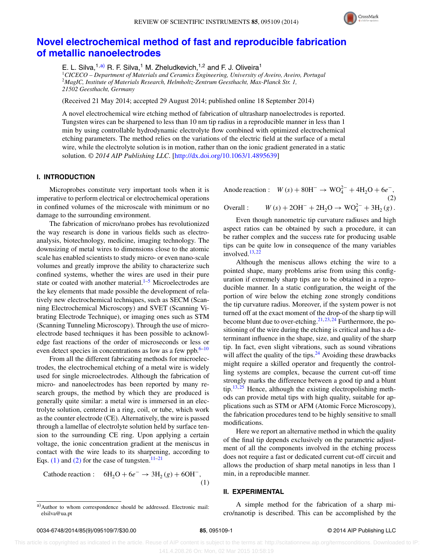

# **[Novel electrochemical method of fast and reproducible fabrication](http://dx.doi.org/10.1063/1.4895639) [of metallic nanoelectrodes](http://dx.doi.org/10.1063/1.4895639)**

E. L. Silva,  $1, a$ ) R. F. Silva, <sup>1</sup> M. Zheludkevich,  $1, 2$  and F. J. Oliveira<sup>1</sup>

<sup>1</sup>*CICECO – Department of Materials and Ceramics Engineering, University of Aveiro, Aveiro, Portugal* <sup>2</sup>*MagIC, Institute of Materials Research, Helmholtz-Zentrum Geesthacht, Max-Planck Str. 1, 21502 Geesthacht, Germany*

(Received 21 May 2014; accepted 29 August 2014; published online 18 September 2014)

A novel electrochemical wire etching method of fabrication of ultrasharp nanoelectrodes is reported. Tungsten wires can be sharpened to less than 10 nm tip radius in a reproducible manner in less than 1 min by using controllable hydrodynamic electrolyte flow combined with optimized electrochemical etching parameters. The method relies on the variations of the electric field at the surface of a metal wire, while the electrolyte solution is in motion, rather than on the ionic gradient generated in a static solution. *© 2014 AIP Publishing LLC*. [\[http://dx.doi.org/10.1063/1.4895639\]](http://dx.doi.org/10.1063/1.4895639)

# **I. INTRODUCTION**

Microprobes constitute very important tools when it is imperative to perform electrical or electrochemical operations in confined volumes of the microscale with minimum or no damage to the surrounding environment.

The fabrication of micro/nano probes has revolutionized the way research is done in various fields such as electroanalysis, biotechnology, medicine, imaging technology. The downsizing of metal wires to dimensions close to the atomic scale has enabled scientists to study micro- or even nano-scale volumes and greatly improve the ability to characterize such confined systems, whether the wires are used in their pure state or coated with another material. $1-5$  $1-5$  Microelectrodes are the key elements that made possible the development of relatively new electrochemical techniques, such as SECM (Scanning Electrochemical Microscopy) and SVET (Scanning Vibrating Electrode Technique), or imaging ones such as STM (Scanning Tunneling Microscopy). Through the use of microelectrode based techniques it has been possible to acknowledge fast reactions of the order of microseconds or less or even detect species in concentrations as low as a few ppb. $6-10$  $6-10$ 

From all the different fabricating methods for microelectrodes, the electrochemical etching of a metal wire is widely used for single microelectrodes. Although the fabrication of micro- and nanoelectrodes has been reported by many research groups, the method by which they are produced is generally quite similar: a metal wire is immersed in an electrolyte solution, centered in a ring, coil, or tube, which work as the counter electrode (CE). Alternatively, the wire is passed through a lamellae of electrolyte solution held by surface tension to the surrounding CE ring. Upon applying a certain voltage, the ionic concentration gradient at the meniscus in contact with the wire leads to its sharpening, according to Eqs. [\(1\)](#page-1-1) and [\(2\)](#page-1-2) for the case of tungsten.<sup>[11](#page-7-4)[–21](#page-7-5)</sup>

<span id="page-1-1"></span>Cathode reaction : 
$$
6H_2O + 6e^- \rightarrow 3H_2(g) + 6OH^-
$$
, (1)

<span id="page-1-2"></span>Anode reaction :  $W(s) + 80H^{-} \rightarrow WO_{4}^{2-} + 4H_{2}O + 6e^{-}$ , (2) Overall :  $W(s) + 2OH^- + 2H_2O \rightarrow WO_4^{2-} + 3H_2(g)$ .

Even though nanometric tip curvature radiuses and high aspect ratios can be obtained by such a procedure, it can be rather complex and the success rate for producing usable tips can be quite low in consequence of the many variables involved.<sup>[13,](#page-7-6)[22](#page-7-7)</sup>

Although the meniscus allows etching the wire to a pointed shape, many problems arise from using this configuration if extremely sharp tips are to be obtained in a reproducible manner. In a static configuration, the weight of the portion of wire below the etching zone strongly conditions the tip curvature radius. Moreover, if the system power is not turned off at the exact moment of the drop-of the sharp tip will become blunt due to over-etching.<sup>[21,](#page-7-5) [23,](#page-7-8) [24](#page-7-9)</sup> Furthermore, the positioning of the wire during the etching is critical and has a determinant influence in the shape, size, and quality of the sharp tip. In fact, even slight vibrations, such as sound vibrations will affect the quality of the tips. $24$  Avoiding these drawbacks might require a skilled operator and frequently the controlling systems are complex, because the current cut-off time strongly marks the difference between a good tip and a blunt tip.<sup>[13,](#page-7-6) [25](#page-7-10)</sup> Hence, although the existing electropolishing methods can provide metal tips with high quality, suitable for applications such as STM or AFM (Atomic Force Microscopy), the fabrication procedures tend to be highly sensitive to small modifications.

Here we report an alternative method in which the quality of the final tip depends exclusively on the parametric adjustment of all the components involved in the etching process does not require a fast or dedicated current cut-off circuit and allows the production of sharp metal nanotips in less than 1 min, in a reproducible manner.

# **II. EXPERIMENTAL**

A simple method for the fabrication of a sharp micro/nanotip is described. This can be accomplished by the

<span id="page-1-0"></span>a)Author to whom correspondence should be addressed. Electronic mail: [elsilva@ua.pt](mailto: elsilva@ua.pt)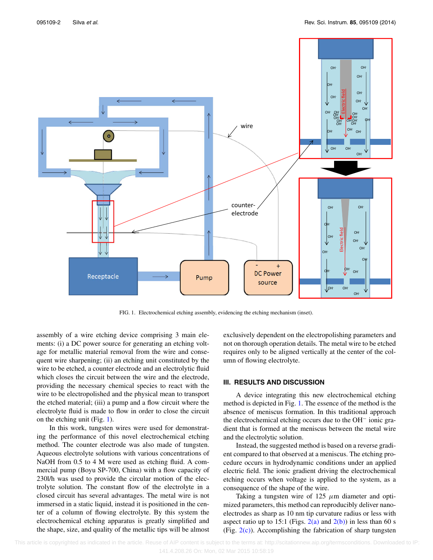<span id="page-2-0"></span>

FIG. 1. Electrochemical etching assembly, evidencing the etching mechanism (inset).

assembly of a wire etching device comprising 3 main elements: (i) a DC power source for generating an etching voltage for metallic material removal from the wire and consequent wire sharpening; (ii) an etching unit constituted by the wire to be etched, a counter electrode and an electrolytic fluid which closes the circuit between the wire and the electrode, providing the necessary chemical species to react with the wire to be electropolished and the physical mean to transport the etched material; (iii) a pump and a flow circuit where the electrolyte fluid is made to flow in order to close the circuit on the etching unit (Fig. [1\)](#page-2-0).

In this work, tungsten wires were used for demonstrating the performance of this novel electrochemical etching method. The counter electrode was also made of tungsten. Aqueous electrolyte solutions with various concentrations of NaOH from 0.5 to 4 M were used as etching fluid. A commercial pump (Boyu SP-700, China) with a flow capacity of 230l/h was used to provide the circular motion of the electrolyte solution. The constant flow of the electrolyte in a closed circuit has several advantages. The metal wire is not immersed in a static liquid, instead it is positioned in the center of a column of flowing electrolyte. By this system the electrochemical etching apparatus is greatly simplified and the shape, size, and quality of the metallic tips will be almost exclusively dependent on the electropolishing parameters and not on thorough operation details. The metal wire to be etched requires only to be aligned vertically at the center of the column of flowing electrolyte.

# **III. RESULTS AND DISCUSSION**

A device integrating this new electrochemical etching method is depicted in Fig. [1.](#page-2-0) The essence of the method is the absence of meniscus formation. In this traditional approach the electrochemical etching occurs due to the OH<sup>−</sup> ionic gradient that is formed at the meniscus between the metal wire and the electrolytic solution.

Instead, the suggested method is based on a reverse gradient compared to that observed at a meniscus. The etching procedure occurs in hydrodynamic conditions under an applied electric field. The ionic gradient driving the electrochemical etching occurs when voltage is applied to the system, as a consequence of the shape of the wire.

Taking a tungsten wire of 125 *μ*m diameter and optimized parameters, this method can reproducibly deliver nanoelectrodes as sharp as 10 nm tip curvature radius or less with aspect ratio up to 15:1 (Figs.  $2(a)$  and  $2(b)$ ) in less than 60 s (Fig.  $2(c)$ ). Accomplishing the fabrication of sharp tungsten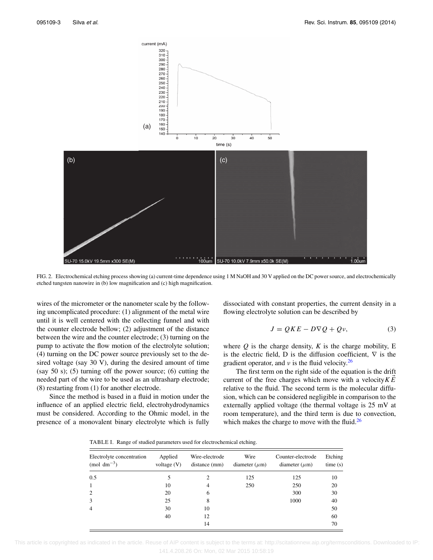<span id="page-3-0"></span>

FIG. 2. Electrochemical etching process showing (a) current-time dependence using 1 M NaOH and 30 V applied on the DC power source, and electrochemically etched tungsten nanowire in (b) low magnification and (c) high magnification.

wires of the micrometer or the nanometer scale by the following uncomplicated procedure: (1) alignment of the metal wire until it is well centered with the collecting funnel and with the counter electrode bellow; (2) adjustment of the distance between the wire and the counter electrode; (3) turning on the pump to activate the flow motion of the electrolyte solution; (4) turning on the DC power source previously set to the desired voltage (say 30 V), during the desired amount of time (say 50 s); (5) turning off the power source; (6) cutting the needed part of the wire to be used as an ultrasharp electrode; (8) restarting from (1) for another electrode.

<span id="page-3-1"></span>Since the method is based in a fluid in motion under the influence of an applied electric field, electrohydrodynamics must be considered. According to the Ohmic model, in the presence of a monovalent binary electrolyte which is fully dissociated with constant properties, the current density in a flowing electrolyte solution can be described by

<span id="page-3-2"></span>
$$
J = QKE - D\nabla Q + Q\nu, \tag{3}
$$

where  $Q$  is the charge density,  $K$  is the charge mobility,  $E$ is the electric field, D is the diffusion coefficient,  $\nabla$  is the gradient operator, and *ν* is the fluid velocity.[26](#page-7-11)

The first term on the right side of the equation is the drift current of the free charges which move with a velocity*KE* relative to the fluid. The second term is the molecular diffusion, which can be considered negligible in comparison to the externally applied voltage (the thermal voltage is 25 mV at room temperature), and the third term is due to convection, which makes the charge to move with the fluid. $^{26}$  $^{26}$  $^{26}$ 

TABLE I. Range of studied parameters used for electrochemical etching.

| Electrolyte concentration<br>(mol dm <sup><math>-3</math></sup> ) | Applied<br>voltage $(V)$ | Wire-electrode<br>distance (mm) | Wire<br>diameter $(\mu m)$ | Counter-electrode<br>diameter $(\mu m)$ | Etching<br>time(s) |
|-------------------------------------------------------------------|--------------------------|---------------------------------|----------------------------|-----------------------------------------|--------------------|
| 0.5                                                               |                          | 2                               | 125                        | 125                                     | 10                 |
| 1                                                                 | 10                       | 4                               | 250                        | 250                                     | 20                 |
| 2                                                                 | 20                       | 6                               |                            | 300                                     | 30                 |
| 3                                                                 | 25                       | 8                               |                            | 1000                                    | 40                 |
| $\overline{4}$                                                    | 30                       | 10                              |                            |                                         | 50                 |
|                                                                   | 40                       | 12                              |                            |                                         | 60                 |
|                                                                   |                          | 14                              |                            |                                         | 70                 |

 This article is copyrighted as indicated in the article. Reuse of AIP content is subject to the terms at: http://scitationnew.aip.org/termsconditions. Downloaded to IP: 141.4.208.26 On: Mon, 02 Mar 2015 10:58:19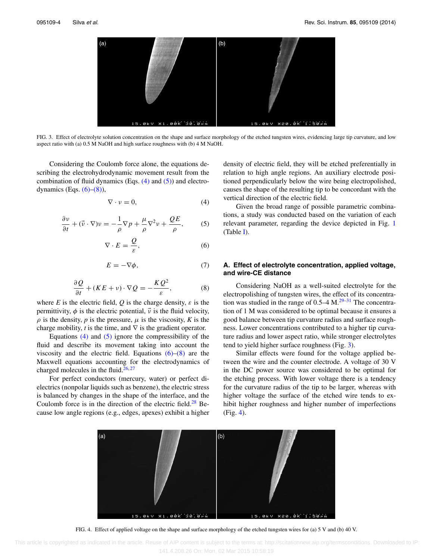<span id="page-4-4"></span>

FIG. 3. Effect of electrolyte solution concentration on the shape and surface morphology of the etched tungsten wires, evidencing large tip curvature, and low aspect ratio with (a) 0.5 M NaOH and high surface roughness with (b) 4 M NaOH.

Considering the Coulomb force alone, the equations describing the electrohydrodynamic movement result from the combination of fluid dynamics (Eqs.  $(4)$  and  $(5)$ ) and electrodynamics (Eqs.  $(6)$ – $(8)$ ),

<span id="page-4-0"></span>
$$
\nabla \cdot \nu = 0,\tag{4}
$$

<span id="page-4-1"></span>
$$
\frac{\partial v}{\partial t} + (\vec{v} \cdot \nabla)v = -\frac{1}{\rho} \nabla p + \frac{\mu}{\rho} \nabla^2 v + \frac{QE}{\rho},
$$
 (5)

<span id="page-4-2"></span>
$$
\nabla \cdot E = \frac{Q}{\varepsilon},\tag{6}
$$

<span id="page-4-6"></span>
$$
E = -\nabla \phi,\tag{7}
$$

<span id="page-4-3"></span>
$$
\frac{\partial Q}{\partial t} + (KE + v) \cdot \nabla Q = -\frac{KQ^2}{\varepsilon},\tag{8}
$$

where *E* is the electric field, *Q* is the charge density,  $\varepsilon$  is the permittivity,  $\phi$  is the electric potential,  $\vec{v}$  is the fluid velocity,  $\rho$  is the density,  $p$  is the pressure,  $\mu$  is the viscosity,  $K$  is the charge mobility, *t* is the time, and  $\nabla$  is the gradient operator.

Equations  $(4)$  and  $(5)$  ignore the compressibility of the fluid and describe its movement taking into account the viscosity and the electric field. Equations  $(6)$ – $(8)$  are the Maxwell equations accounting for the electrodynamics of charged molecules in the fluid. $26,27$  $26,27$ 

For perfect conductors (mercury, water) or perfect dielectrics (nonpolar liquids such as benzene), the electric stress is balanced by changes in the shape of the interface, and the Coulomb force is in the direction of the electric field. $^{28}$  Because low angle regions (e.g., edges, apexes) exhibit a higher density of electric field, they will be etched preferentially in relation to high angle regions. An auxiliary electrode positioned perpendicularly below the wire being electropolished, causes the shape of the resulting tip to be concordant with the vertical direction of the electric field.

Given the broad range of possible parametric combinations, a study was conducted based on the variation of each relevant parameter, regarding the device depicted in Fig. [1](#page-2-0) (Table [I\)](#page-3-1).

# **A. Effect of electrolyte concentration, applied voltage, and wire-CE distance**

Considering NaOH as a well-suited electrolyte for the electropolishing of tungsten wires, the effect of its concentration was studied in the range of  $0.5-4$  M.<sup>[29–](#page-7-14)[31](#page-7-15)</sup> The concentration of 1 M was considered to be optimal because it ensures a good balance between tip curvature radius and surface roughness. Lower concentrations contributed to a higher tip curvature radius and lower aspect ratio, while stronger electrolytes tend to yield higher surface roughness (Fig. [3\)](#page-4-4).

Similar effects were found for the voltage applied between the wire and the counter electrode. A voltage of 30 V in the DC power source was considered to be optimal for the etching process. With lower voltage there is a tendency for the curvature radius of the tip to be larger, whereas with higher voltage the surface of the etched wire tends to exhibit higher roughness and higher number of imperfections (Fig. [4\)](#page-4-5).

<span id="page-4-5"></span>

FIG. 4. Effect of applied voltage on the shape and surface morphology of the etched tungsten wires for (a) 5 V and (b) 40 V.

 This article is copyrighted as indicated in the article. Reuse of AIP content is subject to the terms at: http://scitationnew.aip.org/termsconditions. Downloaded to IP: 141.4.208.26 On: Mon, 02 Mar 2015 10:58:19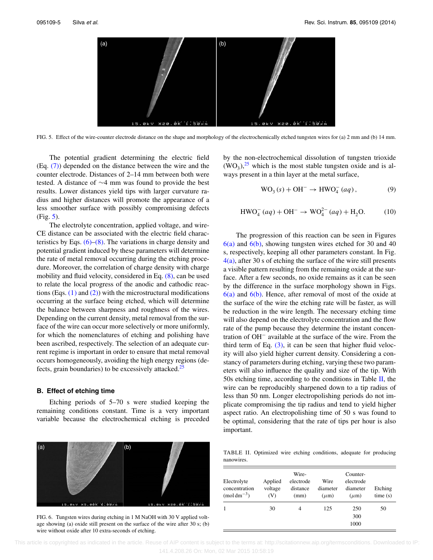<span id="page-5-0"></span>

FIG. 5. Effect of the wire-counter electrode distance on the shape and morphology of the electrochemically etched tungsten wires for (a) 2 mm and (b) 14 mm.

The potential gradient determining the electric field (Eq. [\(7\)\)](#page-4-6) depended on the distance between the wire and the counter electrode. Distances of 2–14 mm between both were tested. A distance of ∼4 mm was found to provide the best results. Lower distances yield tips with larger curvature radius and higher distances will promote the appearance of a less smoother surface with possibly compromising defects (Fig. [5\)](#page-5-0).

The electrolyte concentration, applied voltage, and wire-CE distance can be associated with the electric field characteristics by Eqs.  $(6)$ – $(8)$ . The variations in charge density and potential gradient induced by these parameters will determine the rate of metal removal occurring during the etching procedure. Moreover, the correlation of charge density with charge mobility and fluid velocity, considered in Eq. [\(8\),](#page-4-3) can be used to relate the local progress of the anodic and cathodic reactions (Eqs.  $(1)$  and  $(2)$ ) with the microstructural modifications occurring at the surface being etched, which will determine the balance between sharpness and roughness of the wires. Depending on the current density, metal removal from the surface of the wire can occur more selectively or more uniformly, for which the nomenclatures of etching and polishing have been ascribed, respectively. The selection of an adequate current regime is important in order to ensure that metal removal occurs homogeneously, avoiding the high energy regions (defects, grain boundaries) to be excessively attacked. $25$ 

#### **B. Effect of etching time**

Etching periods of 5–70 s were studied keeping the remaining conditions constant. Time is a very important variable because the electrochemical etching is preceded

<span id="page-5-1"></span>

FIG. 6. Tungsten wires during etching in 1 M NaOH with 30 V applied voltage showing (a) oxide still present on the surface of the wire after 30 s; (b) wire without oxide after 10 extra-seconds of etching.

by the non-electrochemical dissolution of tungsten trioxide  $(WO<sub>3</sub>)<sup>25</sup>$  $(WO<sub>3</sub>)<sup>25</sup>$  $(WO<sub>3</sub>)<sup>25</sup>$  which is the most stable tungsten oxide and is always present in a thin layer at the metal surface,

$$
WO3(s) + OH- \rightarrow HWO4-(aq),
$$
 (9)

$$
HWO_4^-(aq) + OH^- \to WO_4^{2-}(aq) + H_2O.
$$
 (10)

The progression of this reaction can be seen in Figures  $6(a)$  and  $6(b)$ , showing tungsten wires etched for 30 and 40 s, respectively, keeping all other parameters constant. In Fig.  $4(a)$ , after 30 s of etching the surface of the wire still presents a visible pattern resulting from the remaining oxide at the surface. After a few seconds, no oxide remains as it can be seen by the difference in the surface morphology shown in Figs.  $6(a)$  and  $6(b)$ . Hence, after removal of most of the oxide at the surface of the wire the etching rate will be faster, as will be reduction in the wire length. The necessary etching time will also depend on the electrolyte concentration and the flow rate of the pump because they determine the instant concentration of OH<sup>−</sup> available at the surface of the wire. From the third term of Eq.  $(3)$ , it can be seen that higher fluid velocity will also yield higher current density. Considering a constancy of parameters during etching, varying these two parameters will also influence the quality and size of the tip. With 50s etching time, according to the conditions in Table  $II$ , the wire can be reproducibly sharpened down to a tip radius of less than 50 nm. Longer electropolishing periods do not implicate compromising the tip radius and tend to yield higher aspect ratio. An electropolishing time of 50 s was found to be optimal, considering that the rate of tips per hour is also important.

<span id="page-5-2"></span>TABLE II. Optimized wire etching conditions, adequate for producing nanowires.

| Electrolyte<br>concentration<br>$\text{(mol}\,\text{dm}^{-3}$ ) | Applied<br>voltage<br>(V) | Wire-<br>electrode<br>distance<br>(mm) | Wire<br>diameter<br>$(\mu m)$ | Counter-<br>electrode<br>diameter<br>$(\mu m)$ | Etching<br>time(s) |
|-----------------------------------------------------------------|---------------------------|----------------------------------------|-------------------------------|------------------------------------------------|--------------------|
|                                                                 | 30                        | 4                                      | 125                           | 250                                            | 50                 |
|                                                                 |                           |                                        |                               | 300                                            |                    |
|                                                                 |                           |                                        |                               | 1000                                           |                    |

 This article is copyrighted as indicated in the article. Reuse of AIP content is subject to the terms at: http://scitationnew.aip.org/termsconditions. Downloaded to IP: 141.4.208.26 On: Mon, 02 Mar 2015 10:58:19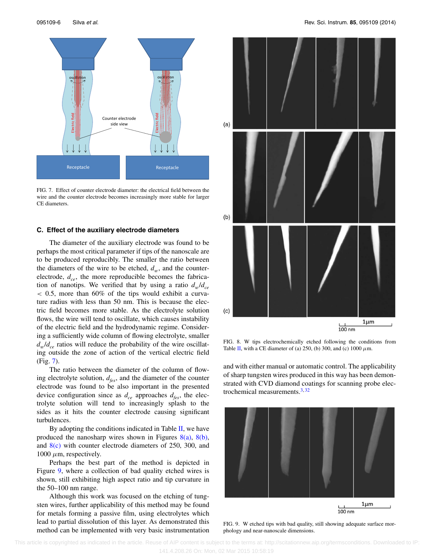<span id="page-6-0"></span>

FIG. 7. Effect of counter electrode diameter: the electrical field between the wire and the counter electrode becomes increasingly more stable for larger CE diameters.

### **C. Effect of the auxiliary electrode diameters**

The diameter of the auxiliary electrode was found to be perhaps the most critical parameter if tips of the nanoscale are to be produced reproducibly. The smaller the ratio between the diameters of the wire to be etched,  $d_w$ , and the counterelectrode,  $d_{ce}$ , the more reproducible becomes the fabrication of nanotips. We verified that by using a ratio  $d_w/d_{ce}$ *<* 0.5, more than 60% of the tips would exhibit a curvature radius with less than 50 nm. This is because the electric field becomes more stable. As the electrolyte solution flows, the wire will tend to oscillate, which causes instability of the electric field and the hydrodynamic regime. Considering a sufficiently wide column of flowing electrolyte, smaller  $d_w/d_{ce}$  ratios will reduce the probability of the wire oscillating outside the zone of action of the vertical electric field (Fig. [7\)](#page-6-0).

The ratio between the diameter of the column of flowing electrolyte solution,  $d_{\text{fes}}$ , and the diameter of the counter electrode was found to be also important in the presented device configuration since as  $d_{ce}$  approaches  $d_{fes}$ , the electrolyte solution will tend to increasingly splash to the sides as it hits the counter electrode causing significant turbulences.

By adopting the conditions indicated in Table  $II$ , we have produced the nanosharp wires shown in Figures  $8(a)$ ,  $8(b)$ , and [8\(c\)](#page-6-1) with counter electrode diameters of 250, 300, and  $1000 \mu m$ , respectively.

Perhaps the best part of the method is depicted in Figure [9,](#page-6-2) where a collection of bad quality etched wires is shown, still exhibiting high aspect ratio and tip curvature in the 50–100 nm range.

Although this work was focused on the etching of tungsten wires, further applicability of this method may be found for metals forming a passive film, using electrolytes which lead to partial dissolution of this layer. As demonstrated this method can be implemented with very basic instrumentation

<span id="page-6-1"></span>

FIG. 8. W tips electrochemically etched following the conditions from Table [II,](#page-5-2) with a CE diameter of (a) 250, (b) 300, and (c) 1000 *μ*m.

and with either manual or automatic control. The applicability of sharp tungsten wires produced in this way has been demonstrated with CVD diamond coatings for scanning probe electrochemical measurements. $3,32$  $3,32$ 

<span id="page-6-2"></span>

FIG. 9. W etched tips with bad quality, still showing adequate surface morphology and near-nanoscale dimensions.